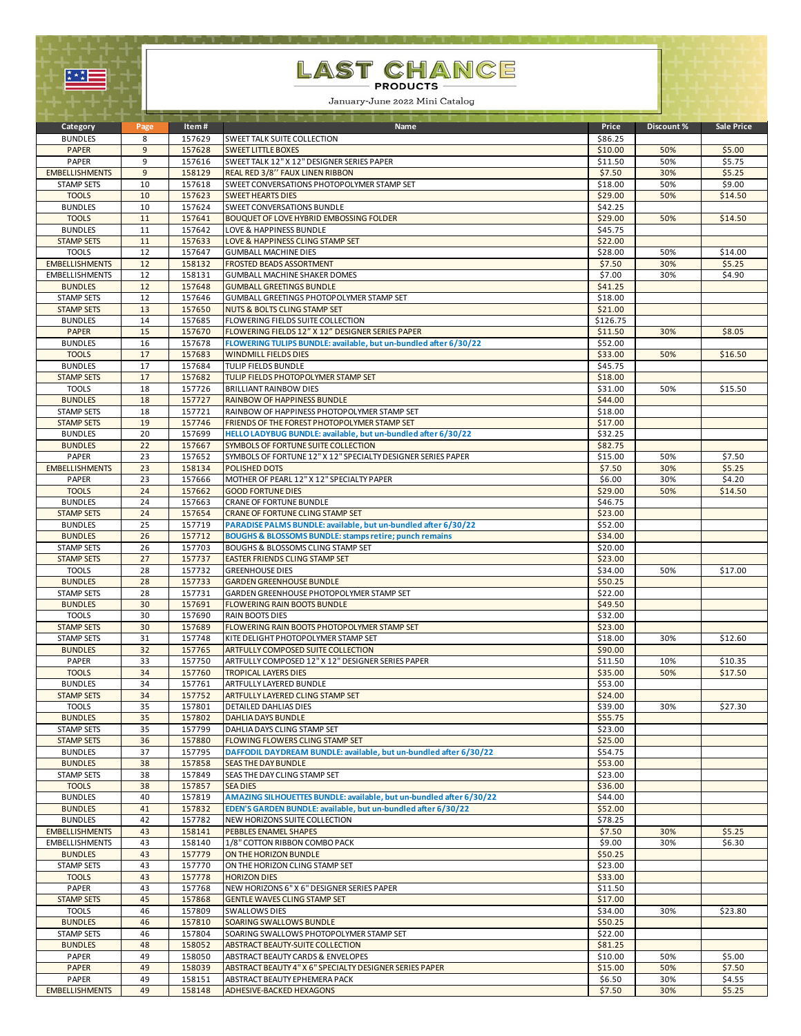

## LAST CHANCE

January-June 2022 Mini Catalog

| Category              | Page           | Item#  | Name                                                                | Price    | Discount % | Sale Price |
|-----------------------|----------------|--------|---------------------------------------------------------------------|----------|------------|------------|
| <b>BUNDLES</b>        | 8              | 157629 | SWEET TALK SUITE COLLECTION                                         | \$86.25  |            |            |
| <b>PAPER</b>          | 9              | 157628 | <b>SWEET LITTLE BOXES</b>                                           | \$10.00  | 50%        | \$5.00     |
| PAPER                 | 9              | 157616 | SWEET TALK 12" X 12" DESIGNER SERIES PAPER                          | \$11.50  | 50%        | \$5.75     |
| <b>EMBELLISHMENTS</b> | $\overline{9}$ | 158129 | REAL RED 3/8" FAUX LINEN RIBBON                                     | \$7.50   | 30%        | \$5.25     |
| <b>STAMP SETS</b>     | 10             | 157618 | SWEET CONVERSATIONS PHOTOPOLYMER STAMP SET                          | \$18.00  | 50%        | \$9.00     |
| <b>TOOLS</b>          | 10             | 157623 | <b>SWEET HEARTS DIES</b>                                            | \$29.00  | 50%        | \$14.50    |
| <b>BUNDLES</b>        | 10             | 157624 | SWEET CONVERSATIONS BUNDLE                                          | \$42.25  |            |            |
| <b>TOOLS</b>          | 11             | 157641 | BOUQUET OF LOVE HYBRID EMBOSSING FOLDER                             | \$29.00  | 50%        | \$14.50    |
| <b>BUNDLES</b>        | 11             | 157642 | LOVE & HAPPINESS BUNDLE                                             | \$45.75  |            |            |
| <b>STAMP SETS</b>     | 11             | 157633 | LOVE & HAPPINESS CLING STAMP SET                                    | \$22.00  |            |            |
| <b>TOOLS</b>          | 12             | 157647 | <b>GUMBALL MACHINE DIES</b>                                         | \$28.00  | 50%        | \$14.00    |
| <b>EMBELLISHMENTS</b> | 12             | 158132 | <b>FROSTED BEADS ASSORTMENT</b>                                     | \$7.50   | 30%        | \$5.25     |
| <b>EMBELLISHMENTS</b> | 12             | 158131 | <b>GUMBALL MACHINE SHAKER DOMES</b>                                 | \$7.00   | 30%        | \$4.90     |
| <b>BUNDLES</b>        | 12             | 157648 | <b>GUMBALL GREETINGS BUNDLE</b>                                     | \$41.25  |            |            |
| <b>STAMP SETS</b>     | 12             | 157646 | GUMBALL GREETINGS PHOTOPOLYMER STAMP SET                            | \$18.00  |            |            |
| <b>STAMP SETS</b>     | 13             | 157650 | NUTS & BOLTS CLING STAMP SET                                        | \$21.00  |            |            |
| <b>BUNDLES</b>        | 14             | 157685 | FLOWERING FIELDS SUITE COLLECTION                                   | \$126.75 |            |            |
| <b>PAPER</b>          | 15             | 157670 | FLOWERING FIELDS 12" X 12" DESIGNER SERIES PAPER                    | \$11.50  | 30%        | \$8.05     |
| <b>BUNDLES</b>        | 16             | 157678 | FLOWERING TULIPS BUNDLE: available, but un-bundled after 6/30/22    | \$52.00  |            |            |
| <b>TOOLS</b>          | 17             | 157683 | <b>WINDMILL FIELDS DIES</b>                                         | \$33.00  | 50%        | \$16.50    |
| <b>BUNDLES</b>        | 17             | 157684 | TULIP FIELDS BUNDLE                                                 | \$45.75  |            |            |
| <b>STAMP SETS</b>     | 17             | 157682 | TULIP FIELDS PHOTOPOLYMER STAMP SET                                 | \$18.00  |            |            |
| <b>TOOLS</b>          | 18             | 157726 | <b>BRILLIANT RAINBOW DIES</b>                                       | \$31.00  | 50%        | \$15.50    |
| <b>BUNDLES</b>        | 18             | 157727 | RAINBOW OF HAPPINESS BUNDLE                                         | \$44.00  |            |            |
| <b>STAMP SETS</b>     | 18             | 157721 | RAINBOW OF HAPPINESS PHOTOPOLYMER STAMP SET                         | \$18.00  |            |            |
| <b>STAMP SETS</b>     | 19             | 157746 | FRIENDS OF THE FOREST PHOTOPOLYMER STAMP SET                        | \$17.00  |            |            |
| <b>BUNDLES</b>        | 20             | 157699 | HELLO LADYBUG BUNDLE: available, but un-bundled after 6/30/22       | \$32.25  |            |            |
| <b>BUNDLES</b>        | 22             | 157667 | SYMBOLS OF FORTUNE SUITE COLLECTION                                 | \$82.75  |            |            |
| PAPER                 | 23             | 157652 | SYMBOLS OF FORTUNE 12" X 12" SPECIALTY DESIGNER SERIES PAPER        | \$15.00  | 50%        | \$7.50     |
| <b>EMBELLISHMENTS</b> | 23             | 158134 | POLISHED DOTS                                                       | \$7.50   | 30%        | \$5.25     |
| PAPER                 | 23             | 157666 | MOTHER OF PEARL 12" X 12" SPECIALTY PAPER                           | \$6.00   | 30%        | \$4.20     |
| <b>TOOLS</b>          | 24             | 157662 | <b>GOOD FORTUNE DIES</b>                                            | \$29.00  | 50%        | \$14.50    |
| <b>BUNDLES</b>        | 24             | 157663 | CRANE OF FORTUNE BUNDLE                                             | \$46.75  |            |            |
| <b>STAMP SETS</b>     | 24             | 157654 | CRANE OF FORTUNE CLING STAMP SET                                    | \$23.00  |            |            |
| <b>BUNDLES</b>        | 25             | 157719 | PARADISE PALMS BUNDLE: available, but un-bundled after 6/30/22      | \$52.00  |            |            |
| <b>BUNDLES</b>        | 26             | 157712 | <b>BOUGHS &amp; BLOSSOMS BUNDLE: stamps retire; punch remains</b>   | \$34.00  |            |            |
| <b>STAMP SETS</b>     | 26             | 157703 | BOUGHS & BLOSSOMS CLING STAMP SET                                   | \$20.00  |            |            |
| <b>STAMP SETS</b>     | 27             | 157737 | EASTER FRIENDS CLING STAMP SET                                      | \$23.00  |            |            |
| <b>TOOLS</b>          | 28             | 157732 | <b>GREENHOUSE DIES</b>                                              | \$34.00  | 50%        | \$17.00    |
| <b>BUNDLES</b>        | 28             | 157733 | <b>GARDEN GREENHOUSE BUNDLE</b>                                     | \$50.25  |            |            |
| <b>STAMP SETS</b>     | 28             | 157731 | GARDEN GREENHOUSE PHOTOPOLYMER STAMP SET                            | \$22.00  |            |            |
| <b>BUNDLES</b>        | 30             | 157691 | <b>FLOWERING RAIN BOOTS BUNDLE</b>                                  | \$49.50  |            |            |
| <b>TOOLS</b>          | 30             | 157690 | <b>RAIN BOOTS DIES</b>                                              | \$32.00  |            |            |
| <b>STAMP SETS</b>     | 30             | 157689 | FLOWERING RAIN BOOTS PHOTOPOLYMER STAMP SET                         | \$23.00  |            |            |
| <b>STAMP SETS</b>     | 31             | 157748 | KITE DELIGHT PHOTOPOLYMER STAMP SET                                 | \$18.00  | 30%        | \$12.60    |
| <b>BUNDLES</b>        | 32             | 157765 | ARTFULLY COMPOSED SUITE COLLECTION                                  | \$90.00  |            |            |
| PAPER                 | 33             | 157750 | ARTFULLY COMPOSED 12" X 12" DESIGNER SERIES PAPER                   | \$11.50  | 10%        | \$10.35    |
| <b>TOOLS</b>          | 34             | 157760 | <b>TROPICAL LAYERS DIES</b>                                         | \$35.00  | 50%        | \$17.50    |
| <b>BUNDLES</b>        | 34             | 157761 | ARTFULLY LAYERED BUNDLE                                             | \$53.00  |            |            |
| <b>STAMP SETS</b>     | 34             | 157752 | ARTFULLY LAYERED CLING STAMP SET                                    | \$24.00  |            |            |
| <b>TOOLS</b>          | 35             | 157801 | DETAILED DAHLIAS DIES                                               | \$39.00  | 30%        | \$27.30    |
| <b>BUNDLES</b>        | 35             | 157802 | <b>DAHLIA DAYS BUNDLE</b>                                           | \$55.75  |            |            |
| <b>STAMP SETS</b>     | 35             | 157799 | DAHLIA DAYS CLING STAMP SET                                         | \$23.00  |            |            |
| <b>STAMP SETS</b>     | 36             | 157880 | FLOWING FLOWERS CLING STAMP SET                                     | \$25.00  |            |            |
| <b>BUNDLES</b>        | 37             | 157795 | DAFFODIL DAYDREAM BUNDLE: available, but un-bundled after 6/30/22   | \$54.75  |            |            |
| <b>BUNDLES</b>        | 38             | 157858 | <b>SEAS THE DAY BUNDLE</b>                                          | \$53.00  |            |            |
| <b>STAMP SETS</b>     | 38             | 157849 | SEAS THE DAY CLING STAMP SET                                        | \$23.00  |            |            |
| <b>TOOLS</b>          | 38             | 157857 | <b>SEA DIES</b>                                                     | \$36.00  |            |            |
| <b>BUNDLES</b>        | 40             | 157819 | AMAZING SILHOUETTES BUNDLE: available, but un-bundled after 6/30/22 | \$44.00  |            |            |
| <b>BUNDLES</b>        | 41             | 157832 | EDEN'S GARDEN BUNDLE: available, but un-bundled after 6/30/22       | \$52.00  |            |            |
| <b>BUNDLES</b>        | 42             | 157782 | NEW HORIZONS SUITE COLLECTION                                       | \$78.25  |            |            |
| <b>EMBELLISHMENTS</b> | 43             | 158141 | PEBBLES ENAMEL SHAPES                                               | \$7.50   | 30%        | \$5.25     |
| <b>EMBELLISHMENTS</b> | 43             | 158140 | 1/8" COTTON RIBBON COMBO PACK                                       | \$9.00   | 30%        | \$6.30     |
| <b>BUNDLES</b>        | 43             | 157779 | ON THE HORIZON BUNDLE                                               | \$50.25  |            |            |
| <b>STAMP SETS</b>     | 43             | 157770 | ON THE HORIZON CLING STAMP SET                                      | \$23.00  |            |            |
| <b>TOOLS</b>          | 43             | 157778 | <b>HORIZON DIES</b>                                                 | \$33.00  |            |            |
| PAPER                 | 43             | 157768 | NEW HORIZONS 6" X 6" DESIGNER SERIES PAPER                          | \$11.50  |            |            |
| <b>STAMP SETS</b>     | 45             | 157868 | <b>GENTLE WAVES CLING STAMP SET</b>                                 | \$17.00  |            |            |
| <b>TOOLS</b>          | 46             | 157809 | <b>SWALLOWS DIES</b>                                                | \$34.00  | 30%        | \$23.80    |
| <b>BUNDLES</b>        | 46             | 157810 | SOARING SWALLOWS BUNDLE                                             | \$50.25  |            |            |
| <b>STAMP SETS</b>     | 46             | 157804 | SOARING SWALLOWS PHOTOPOLYMER STAMP SET                             | \$22.00  |            |            |
| <b>BUNDLES</b>        | 48             | 158052 | ABSTRACT BEAUTY-SUITE COLLECTION                                    | \$81.25  |            |            |
| PAPER                 | 49             | 158050 | ABSTRACT BEAUTY CARDS & ENVELOPES                                   | \$10.00  | 50%        | \$5.00     |
| PAPER                 | 49             | 158039 | ABSTRACT BEAUTY 4" X 6" SPECIALTY DESIGNER SERIES PAPER             | \$15.00  | 50%        | \$7.50     |
| PAPER                 | 49             | 158151 | ABSTRACT BEAUTY EPHEMERA PACK                                       | \$6.50   | 30%        | \$4.55     |
| <b>EMBELLISHMENTS</b> | 49             | 158148 | ADHESIVE-BACKED HEXAGONS                                            | \$7.50   | 30%        | \$5.25     |